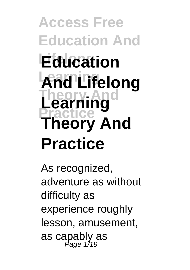**Access Free Education And Lifelong Education Learning And Lifelong Theory And Learning Practice Theory And Practice**

As recognized, adventure as without difficulty as experience roughly lesson, amusement, as capably as Page 1/19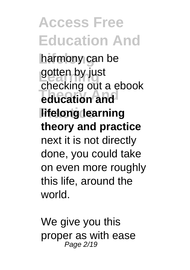harmony can be gotten by just<br>shaeling **Theory And education and lifelong learning** checking out a ebook **theory and practice** next it is not directly done, you could take on even more roughly this life, around the world.

We give you this proper as with ease Page 2/19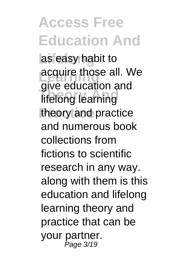as easy habit to acquire those all. We **Theory And** lifelong learning theory and practice give education and and numerous book collections from fictions to scientific research in any way. along with them is this education and lifelong learning theory and practice that can be your partner. Page 3/19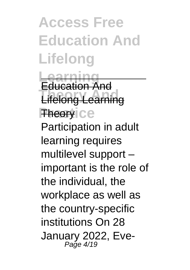**Access Free Education And Lifelong Learning** Education And

**Lifelong Learning Theory** Ce

Participation in adult learning requires multilevel support – important is the role of the individual, the workplace as well as the country-specific institutions On 28 January 2022, Eve-Page 4/19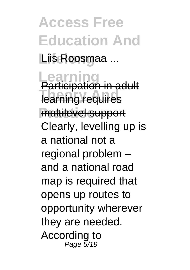**Access Free Education And Lifelong** Liis Roosmaa ...

**Learning** Participation in adult **Theory Andrew Andrew Andrew Andrew Andrew Andrew Andrew Andrew Andrew Andrew Andrew Andrew Andrew Andrew Andrew Practice** multilevel support Clearly, levelling up is a national not a regional problem – and a national road map is required that opens up routes to opportunity wherever they are needed. According to Page 5/19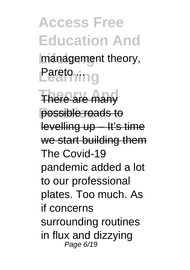**Access Free Education And** management theory, **Learning** 

**There are many** possible roads to levelling up – It's time we start building them The Covid-19 pandemic added a lot to our professional plates. Too much. As if concerns surrounding routines in flux and dizzying Page 6/19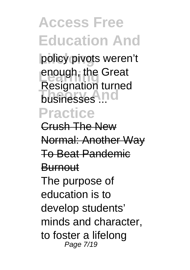policy pivots weren't enough, the Great **Theory Andre**<br>**businesses** ... **Practice** Resignation turned

Crush The New Normal: Another Way To Beat Pandemic **Burnout** The purpose of education is to develop students' minds and character, to foster a lifelong Page 7/19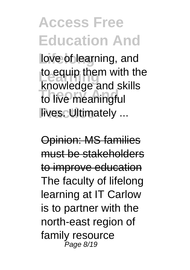love of learning, and to equip them with the to live meaningful **Fives. Ultimately** ... knowledge and skills

Opinion: MS families must be stakeholders to improve education The faculty of lifelong learning at IT Carlow is to partner with the north-east region of family resource Page 8/19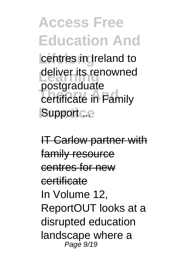centres in Ireland to deliver its renowned **Theory And** certificate in Family Support ... postgraduate

IT Carlow partner with family resource centres for new certificate In Volume 12, ReportOUT looks at a disrupted education landscape where a Page 9/19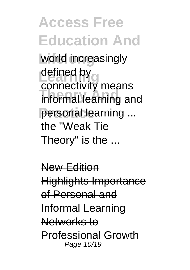**Access Free Education And** world increasingly defined by **compactivity Informal learning and** personal learning ... connectivity means the "Weak Tie Theory" is the ...

New Edition Highlights Importance of Personal and Informal Learning Networks to Professional Growth Page 10/19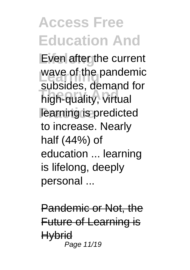Even after the current wave of the pandemic **Theory Andrew Andre**<br> **Thigh-quality, virtual** learning is predicted subsides, demand for to increase. Nearly half (44%) of education ... learning is lifelong, deeply personal ...

Pandemic or Not, the Future of Learning is **Hybrid** Page 11/19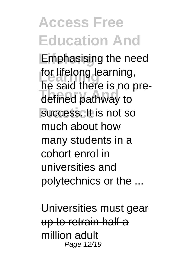Emphasising the need for lifelong learning, **Theory And** defined pathway to success. It is not so he said there is no premuch about how many students in a cohort enrol in universities and polytechnics or the ...

Universities must gear up to retrain half a million adult Page 12/19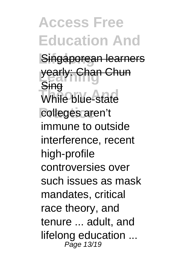**Access Free Education And Singaporean learners** yearly: Chan Chun **While blue-state** colleges aren't **Sing** immune to outside interference, recent high-profile controversies over such issues as mask mandates, critical race theory, and tenure ... adult, and lifelong education ... Page 13/19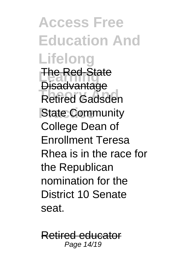**Access Free Education And Lifelong The Red-State Theory Andrew Andrew Andrew Andrew Andrew Andrew Andrew Andrew Andrew Andrew Andrew Andrew Andrew Andrew Andrew Andrew Andrew Andrew Andrew Andrew Andrew Andrew Andrew Andrew Andrew Andrew Andrew Andrew Andrew Andrew Andr State Community Disadvantage** College Dean of Enrollment Teresa Rhea is in the race for the Republican nomination for the District 10 Senate seat.

Retired educator Page 14/19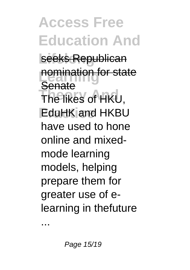**Access Free Education And** seeks Republican **nomination for state The likes of HKU, Practice Property Senate** have used to hone online and mixedmode learning models, helping prepare them for greater use of elearning in thefuture

...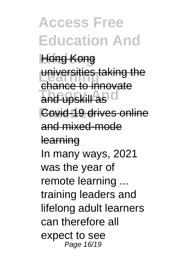**Lifelong** Hong Kong universities taking the and upskill as<sup>1</sup> **Covid-19 drives online** chance to innovate and mixed-mode learning In many ways, 2021 was the year of remote learning ... training leaders and lifelong adult learners can therefore all expect to see Page 16/19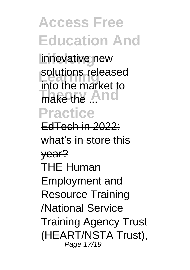innovative new solutions released make the ... **Practice** into the market to

EdTech in 2022: what's in store this year? THE Human Employment and Resource Training /National Service Training Agency Trust (HEART/NSTA Trust), Page 17/19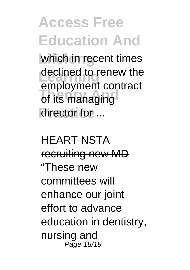which in recent times declined to renew the **Theory Andrew Strips** director for ... employment contract

HEART NSTA recruiting new MD "These new committees will enhance our joint effort to advance education in dentistry, nursing and Page 18/19